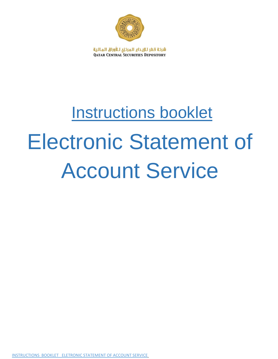

شركة قطر للإيـداع الـمركزي لـلأوراق الـمـالـية **QATAR CENTRAL SECURITIES DEPOSITORY** 

# Instructions booklet Electronic Statement of Account Service

INSTRUCTIONS BOOKLET ELETRONIC STATEMENT OF ACCOUNT SERVICE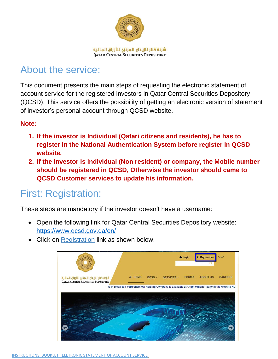

# About the service:

This document presents the main steps of requesting the electronic statement of account service for the registered investors in Qatar Central Securities Depository (QCSD). This service offers the possibility of getting an electronic version of statement of investor's personal account through QCSD website.

### **Note:**

- **1. If the investor is Individual (Qatari citizens and residents), he has to register in the National Authentication System before register in QCSD website.**
- **2. If the investor is individual (Non resident) or company, the Mobile number should be registered in QCSD, Otherwise the investor should came to QCSD Customer services to update his information.**

## First: Registration:

These steps are mandatory if the investor doesn't have a username:

- Open the following link for Qatar Central Securities Depository website: https://www.qcsd.gov.qa/en/
- Click on Registration link as shown below.

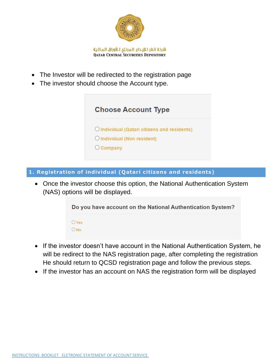

- The Investor will be redirected to the registration page
- The investor should choose the Account type.



**1. Registration of individual (Qatari citizens and residents)**

 Once the investor choose this option, the National Authentication System (NAS) options will be displayed.



- If the investor doesn't have account in the National Authentication System, he will be redirect to the NAS registration page, after completing the registration He should return to QCSD registration page and follow the previous steps.
- If the investor has an account on NAS the registration form will be displayed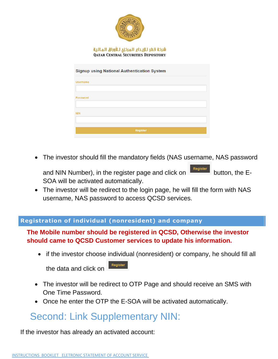

The investor should fill the mandatory fields (NAS username, NAS password

and NIN Number), in the register page and click on  $\sqrt{\frac{1}{1-\frac{1}{1-\frac{1}{1-\frac{1}{1-\frac{1}{1-\frac{1}{1-\frac{1}{1-\frac{1}{1-\frac{1}{1-\frac{1}{1-\frac{1}{1-\frac{1}{1-\frac{1}{1-\frac{1}{1-\frac{1}{1-\frac{1}{1-\frac{1}{1-\frac{1}{1-\frac{1}{1-\frac{1}{1-\frac{1}{1-\frac{1}{1-\frac{1}{1-\frac{1}{1-\frac{1}{1-\frac{1}{1-\frac{1}{1-\frac{1}{$ SOA will be activated automatically.

 The investor will be redirect to the login page, he will fill the form with NAS username, NAS password to access QCSD services.

#### **Registration of individual (nonresident) and company**

## **The Mobile number should be registered in QCSD, Otherwise the investor should came to QCSD Customer services to update his information.**

• if the investor choose individual (nonresident) or company, he should fill all

Register the data and click on

- The investor will be redirect to OTP Page and should receive an SMS with One Time Password.
- Once he enter the OTP the E-SOA will be activated automatically.

## Second: Link Supplementary NIN:

If the investor has already an activated account: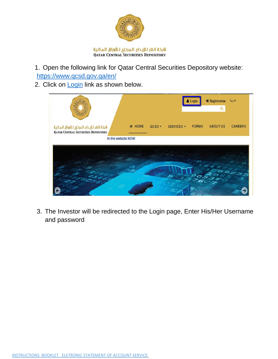

1. Open the following link for Qatar Central Securities Depository website: https://www.qcsd.gov.qa/en/

2. Click on Login link as shown below.



3. The Investor will be redirected to the Login page, Enter His/Her Username and password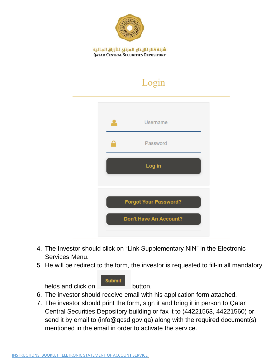

## Login

| <b>Username</b>              |
|------------------------------|
| Password                     |
| Log in                       |
| <b>Forgot Your Password?</b> |
|                              |

- 4. The Investor should click on "Link Supplementary NIN" in the Electronic Services Menu.
- 5. He will be redirect to the form, the investor is requested to fill-in all mandatory

**Submit** 

fields and click on **button**.

- 6. The investor should receive email with his application form attached.
- 7. The investor should print the form, sign it and bring it in person to Qatar Central Securities Depository building or fax it to (44221563, 44221560) or send it by email to (info@qcsd.gov.qa) along with the required document(s) mentioned in the email in order to activate the service.